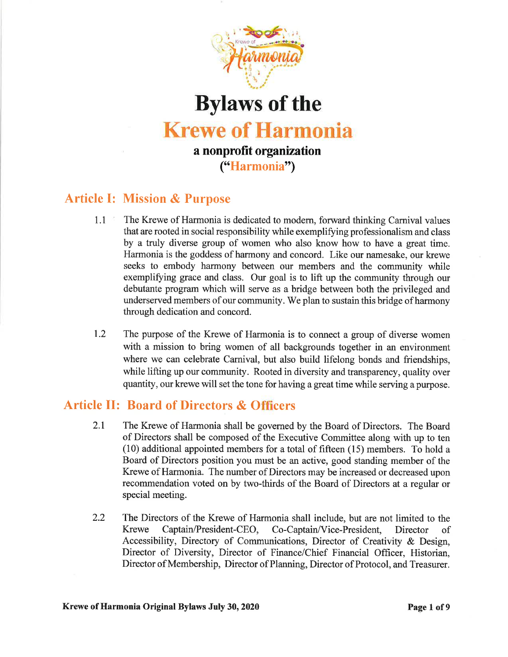

Bylaws of the Krewe of Harmonia a nonprofit organization ("Harmonia")

# Article I: Mission & Purpose

- 1.1 The Krewe of Harmonia is dedicated to modem, forward thinking Carnival values that are rooted in social responsibility while exemplifying professionalism and class by a truly diverse group of women who also know how to have a great time. Harmonia is the goddess of harmony and concord. Like our namesake, our krewe seeks to embody harmony between our members and the community while exempliffing grace and class. Our goal is to lift up the community through our debutante program which will serve as a bridge between both the privileged and underserved members of our community. We plan to sustain this bridge of harmony through dedication and concord.
- 1.2 The purpose of the Krewe of Harmonia is to connect a group of diverse women with a mission to bring women of all backgrounds together in an environment where we can celebrate Carnival, but also build lifelong bonds and friendships, while lifting up our community. Rooted in diversity and transparency, quality over quantity, our krewe will set the tone for having a great time while serving a purpose.

## Article II: Board of Directors & Officers

- 2.I The Krewe of Harmonia shall be governed by the Board of Directors. The Board of Directors shall be composed of the Executive Committee along with up to ten (10) additional appointed members for a total of fifteen (15) members. To hold a Board of Directors position you must be an active, good standing member of the Krewe of Harmonia. The number of Directors may be increased or decreased upon recommendation voted on by two-thirds of the Board of Directors at a regular or special meeting.
- 2.2 The Directors of the Krewe of Harmonia shall include, but are not limited to the Krewe Captain/President-CEO, Co-Captain/Vice-President, Director of Accessibility, Directory of Communications, Director of Creativity & Design, Director of Diversity, Director of Finance/Chief Financial Officer, Historian, Director of Membership, Director of Planning, Director of Protocol, and Treasurer.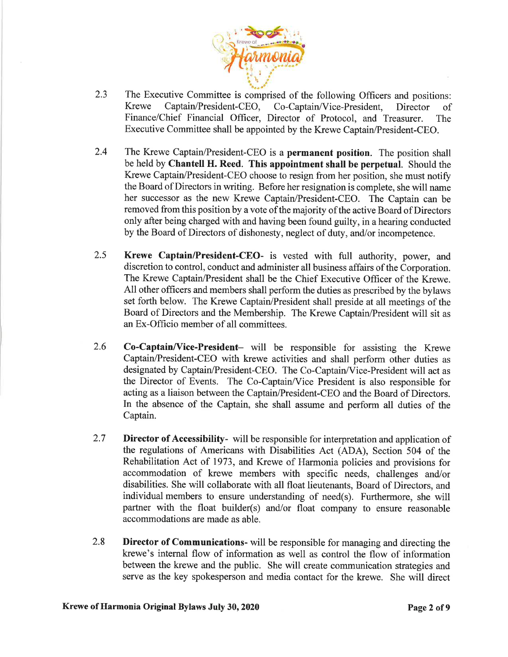

- The Executive Committee is comprised of the following Officers and positions:<br>Krewe Captain/President-CEO, Co-Captain/Vice-President. Director of Co-Captain/Vice-President, Director of Finance/Chief Financial officer, Director of Protocol, and Treasurer. The Executive Committee shall be appointed by the Krewe Captain/President-CEO. 2.3
- The Krewe Captain/President-CEO is a permanent position. The position shall be held by Chantell H. Reed. This appointment shall be perpetual. Should the Krewe Captain/President-CEO choose to resign from her position, she must notifr the Board of Directors in writing. Before her resignation is complete, she will name her successor as the new Krewe Captain/President-CEo. The Captain can be removed from this position by a vote of the majority of the active Board of Directors only after being charged with and having been found guilty, in a hearing conducted by the Board of Directors of dishonesty, neglect of duty, and/or incompetence. 2.4
- Krewe Captain/President-CEO- is vested with full authority, power, and discretion to control, conduct and administer all business affairs of the Corporation. The Krewe Captain/President shall be the Chief Executive Officer of the Krewe. All other officers and members shall perform the duties as prescribed by the bylaws set forth below. The Krewe Captain/President shall preside at all meetings of the Board of Directors and the Membership. The Krewe Captain/President will sit as an Ex-Officio member of all committees. 2.5
- Co-Captain/Vice-President- will be responsible for assisting the Krewe Captain/President-CEO with krewe activities and shall perform other duties as designated by Captain/President-CEO. The Co-Captain/Vice-President will act as the Director of Events. The Co-Captain/Vice President is also responsible for acting as a liaison between the Captain/President-CEO and the Board of Directors. In the absence of the Captain, she shall assume and perform all duties of the Captain. 2.6
- Director of Accessibility- will be responsible for interpretation and application of the regulations of Americans with Disabilities Act (ADA), Section 504 of the Rehabilitation Act of 1973, and Krewe of Harmonia policies and provisions for accommodation of krewe members with specific needs, challenges and/or disabilities. She will collaborate with all float lieutenants, Board of Directors, and individual members to ensure understanding of need(s). Furthermore, she will partner with the float builder(s) and/or float company to ensure reasonable accommodations are made as able. 2.7
- Director of Communications- will be responsible for managing and directing the krewe's internal flow of information as well as control the flow of information between the krewe and the public. She will create communication strategies and serve as the key spokesperson and media contact for the krewe. She will direct 2.8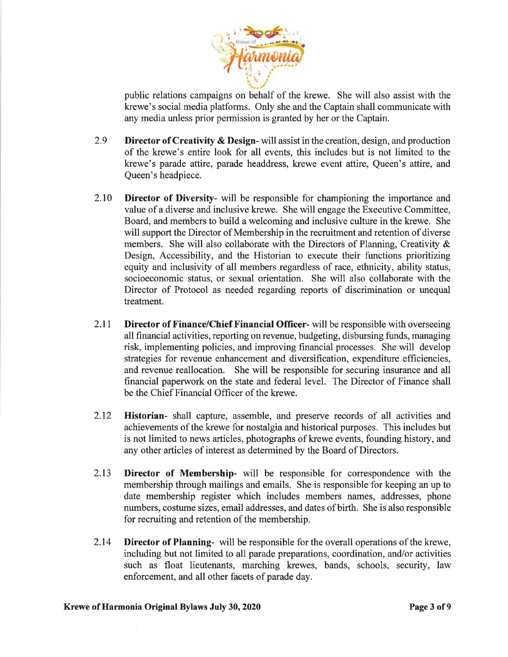

public relations campaigns on behalf of the krewe. She will also assist with the krewe's social media platforms. Only she and the Captain shall communicate with any media unless prior permission is granted by her or the Captain.

- 2.9 Director of Creativity & Design- will assist in the creation, design, and production of the krewe's entire look for all events, this includes but is not limited to the ktewe's parade attire, parade headdress, krewe event attire, Queen's attire, and Queen's headpiece.
- 2.10 Director of Diversity- will be responsible for championing the importance and value of a diverse and inclusive krewe. She will engage the Executive Committee, Board, and members to build a welcoming and inclusive culture in the krewe. She will support the Director of Membership in the recruitment and retention of diverse members. She will also collaborate with the Directors of Planning, Creativity  $\&$ Design, Accessibility, and the Historian to execute their functions prioritizing equity and inclusivity of all members regardless of race, ethnicity, ability status, socioeconomic status, or sexual orientation. She will also collaborate with the Director of Protocol as needed regarding reports of discrimination or unequal treatment.
- 2.11 **Director of Finance/Chief Financial Officer-** will be responsible with overseeing all financial activities, reporting on revenue, budgeting, disbursing funds, managing risk, implementing policies, and improving financial processes. She will develop strategies for revenue enhancement and diversification, expenditure efficiencies, and revenue reallocation. She will be responsible for securing insurance and all financial paperwork on the state and federal level. The Director of Finance shall be the Chief Financial Officer of the krewe.
- 2.12 **Historian-** shall capture, assemble, and preserve records of all activities and achievements of the krewe for nostalgia and historical purposes. This includes but is not limited to news articles, photographs of krewe events, founding history, and any other articles of interest as determined by the Board of Directors.
- 2.13 Director of Membership- will be responsible for correspondence with the membership through mailings and emails. She is responsible for keeping an up to date membership register which includes members names, addresses, phone numbers, costume sizes, email addresses, and dates of birth. She is also responsible for recruiting and retention of the membership.
- 2.14 Director of Planning- will be responsible for the overall operations of the krewe, including but not limited to all parade preparations, coordination, and/or activities such as float lieutenants, marching krewes, bands, schools, security, law enforcement, and all other facets of parade day.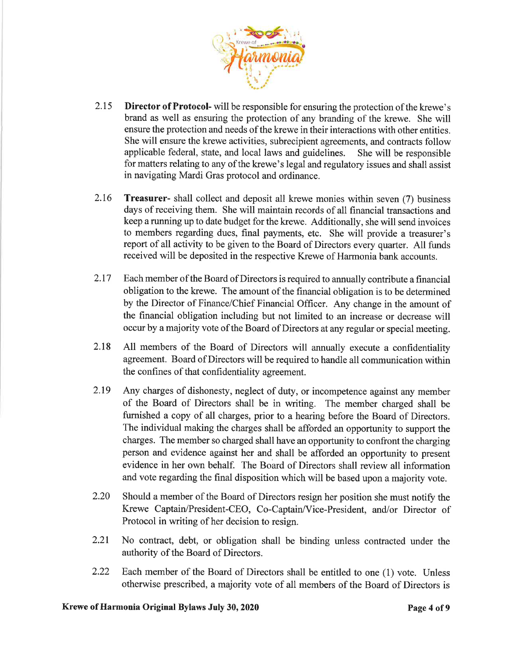

- 2.15 **Director of Protocol-** will be responsible for ensuring the protection of the krewe's brand as well as ensuring the protection of any branding of the krewe. She will ensure the protection and needs of the krewe in their interactions with other entities. She will ensure the krewe activities, subrecipient agreements, and contracts follow applicable federal, state, and local laws and guidelines. She will be responsible for matters relating to any of the krewe's legal and regulatory issues and shall assist in navigating Mardi Gras protocol and ordinance.
- 2.16 Treasurer- shall collect and deposit all krewe monies within seven (7) business days of receiving them. She will maintain records of all financial transactions and keep a running up to date budget for the krewe. Additionally, she will send invoices to members regarding dues, final payments, etc. She will provide a treasurer's report of all activity to be given to the Board of Directors every quarter. All funds received will be deposited in the respective Krewe of Harmonia bank accounts.
- 2.I7 Each member of the Board of Directors is required to annually contribute a financial obligation to the krewe. The amount of the financial obligation is to be determined by the Director of Finance/Chief Financial Officer. Any change in the amount of the financial obligation including but not limited to an increase or decrease will occur by a majority vote of the Board of Directors at any regular or special meeting.
- 2.I8 All members of the Board of Directors will annually execute a confidentiality agreement. Board of Directors will be required to handle all communication within the confines of that confidentiality agreement.
- 2.19 Any charges of dishonesty, neglect of duty, or incompetence against any member of the Board of Directors shall be in writing. The member charged shall be furnished a copy of all charges, prior to a hearing before the Board of Directors. The individual making the charges shall be afforded an opportunity to support the charges. The member so charged shall have an opportunity to confront the charging person and evidence against her and shall be afforded an opportunity to present evidence in her own behalf. The Board of Directors shall review all information and vote regarding the final disposition which will be based upon a majority vote.
- 2.20 Should a member of the Board of Directors resign her position she must notify the Krewe Captain/President-CEO, Co-Captain/Vice-President, and/or Director of Protocol in writing of her decision to resign.
- 2.21 No contract, debt, or obligation shall be binding unless contracted under the authority of the Board of Directors.
- 2.22 Each member of the Board of Directors shall be entitled to one (1) vote. Unless otherwise prescribed, a majority vote of all members of the Board of Directors is

#### Krewe of Harmonia Original Bylaws July 30, 2020 **Page 4 of 9** Page 4 of 9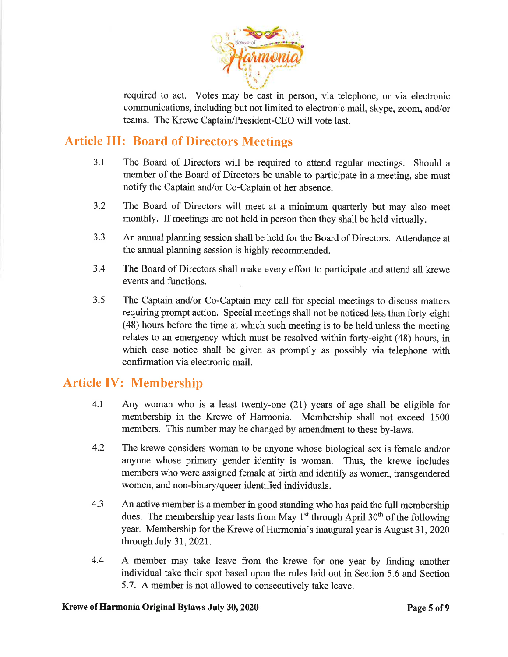

required to act. Votes may be cast in person, via telephone, or via electronic communications, including but not limited to electronic mail, skype, zoom, and/or teams. The Krewe Captain/President-CEO will vote last.

## Article III: Board of Directors Meetings

- 3.1 The Board of Directors will be required to attend regular meetings. Should <sup>a</sup> member of the Board of Directors be unable to participate in a meeting, she must notify the Captain and/or Co-Captain of her absence.
- 3.2 The Board of Directors will meet at a minimum quarterly but may also meet monthly. If meetings are not held in person then they shall be held virtually.
- 3.3 An annual planning session shall be held for the Board of Directors. Attendance at the annual planning session is highly recommended.
- 3.4 The Board of Directors shall make every effort to participate and attend all krewe events and functions.
- 3.5 The Captain and/or Co-Captain may call for special meetings to discuss matters requiring prompt action. Special meetings shall not be noticed less than forty-eight (48) hours before the time at which such meeting is to be held unless the meeting relates to an emergency which must be resolved within forty-eight (48) hours, in which case notice shall be given as promptly as possibly via telephone with confirmation via electronic mail.

## Article IV: Membership

- 4.1 Any woman who is a least twenty-one (21) years of age shall be eligible for membership in the Krewe of Harmonia. Membership shall not exceed 1500 members. This number may be changed by amendment to these by-laws.
- 4.2 The krewe considers woman to be anyone whose biological sex is female and/or anyone whose primary gender identity is woman. Thus, the krewe includes members who were assigned female at birth and identify as women, transgendered women, and non-binary/queer identified individuals.
- 4.3 An active member is a member in good standing who has paid the full membership dues. The membership year lasts from May  $1<sup>st</sup>$  through April 30<sup>th</sup> of the following year. Membership for the Krewe of Harmonia's inaugural year is August 3I,2020 through July 31,2021.
- 4.4 A member may take leave from the krewe for one year by finding another individual take their spot based upon the rules laid out in Section 5.6 and Section 5.7. A member is not allowed to consecutively take leave.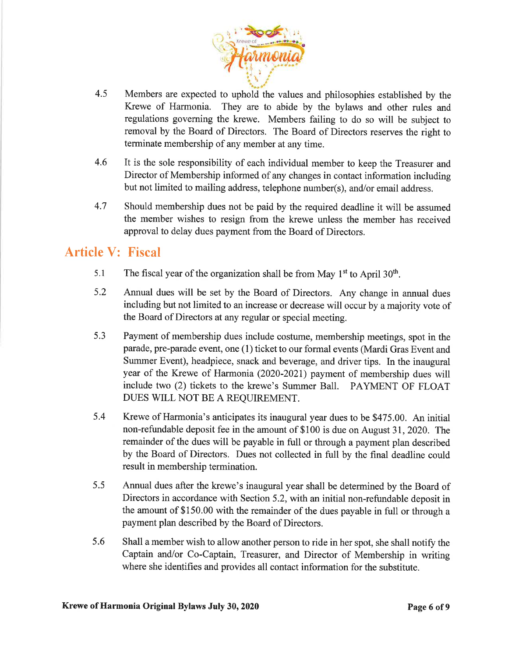

- 4.5 Members are expected to uphold the values and philosophies established by the Krewe of Harmonia. They are to abide by the bylaws and other rules and regulations governing the krewe. Members failing to do so will be subject to removal by the Board of Directors. The Board of Directors reserves the right to terminate membership of any member at any time.
- 4.6 It is the sole responsibility of each individual member to keep the Treasurer and Director of Membership informed of any changes in contact information including but not limited to mailing address, telephone number(s), and/or email address.
- 4.7 Should membership dues not be paid by the required deadline it will be assumed the member wishes to resign from the krewe unless the member has received approval to delay dues payment from the Board of Directors.

# Article V: Fiscal

- 5.1 The fiscal year of the organization shall be from May  $1<sup>st</sup>$  to April 30<sup>th</sup>.
- 5.2 Annual dues will be set by the Board of Directors. Any change in annual dues including but not limited to an increase or decrease will occur by a majority vote of the Board of Directors at any regular or special meeting.
- 5.3 Payment of membership dues include costume, membership meetings, spot in the parade, pre-parade event, one (1) ticket to our formal events (Mardi Gras Event and Summer Event), headpiece, snack and beverage, and driver tips. In the inaugural year of the Krewe of Harmonia (2020-2021) payment of membership dues will include two (2) tickets to the krewe's Summer Ball. PAYMENT OF FLOAT DUES WILL NOT BE A REQUIREMENT.
- 5.4 Krewe of Harmonia's anticipates its inaugural year dues to be \$475.00. An initial non-refundable deposit fee in the amount of \$100 is due on August 31,2020. The remainder of the dues will be payable in full or through a payment plan described by the Board of Directors. Dues not collected in full by the final deadline could result in membership termination.
- 5.5 Annual dues after the krewe's inaugural year shall be determined by the Board of Directors in accordance with Section 5.2, with an initial non-refundable deposit in the amount of \$150.00 with the remainder of the dues payable in full or through a payment plan described by the Board of Directors.
- 5.6 Shall a member wish to allow another person to ride in her spot, she shall notify the Captain and/or Co-Captain, Treasurer, and Director of Membership in writing where she identifies and provides all contact information for the substitute.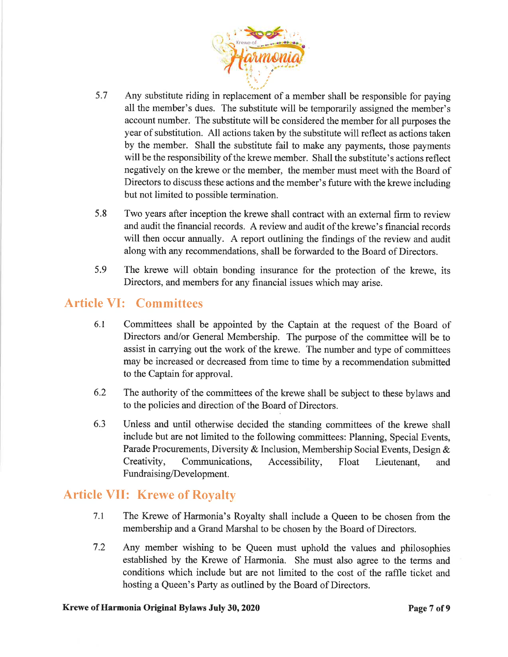

- 5.7 Any substitute riding in replacement of a member shall be responsible for paying all the member's dues. The substitute will be temporarily assigned the member's account number. The substitute will be considered the member for all purposes the year of substitution. All actions taken by the substitute will reflect as actions taken by the member. Shall the substitute fail to make any payments, those payments will be the responsibility of the krewe member. Shall the substitute's actions reflect negatively on the krewe or the member, the member must meet with the Board of Directors to discuss these actions and the member's future with the krewe including but not limited to possible termination.
- 5.8 Two years after inception the krewe shall contract with an external firm to review and audit the financial records. A review and audit of the krewe's financial records will then occur annually. A report outlining the findings of the review and audit along with any recommendations, shall be forwarded to the Board of Directors.
- 5.9 The krewe will obtain bonding insurance for the protection of the krewe, its Directors, and members for any financial issues which may arise.

## Article VI: Committees

- 6.1 Committees shall be appointed by the Captain at the request of the Board of Directors and/or General Membership. The purpose of the committee will be to assist in carrying out the work of the krewe. The number and type of committees may be increased or decreased from time to time by a recommendation submitted to the Captain for approval.
- 6.2 The authority of the committees of the krewe shall be subject to these bylaws and to the policies and direction of the Board of Directors.
- 6.3 Unless and until otherwise decided the standing committees of the krewe shall include but are not limited to the following committees: Planning, Special Events, Parade Procurements, Diversity & Inclusion, Membership Social Events, Design & Creativity, Communications, Accessibility, Float Lieutenant, and Fundraising/Development.

## Article VII: Krewe of Royalty

- 7.1 The Krewe of Harmonia's Royalty shall include a Queen to be chosen from the membership and a Grand Marshal to be chosen by the Board of Directors.
- 7.2 Any member wishing to be Queen must uphold the values and philosophies established by the Krewe of Harmonia. She must also agree to the terms and conditions which include but are not limited to the cost of the raffle ticket and hosting a Queen's Party as outlined by the Board of Directors.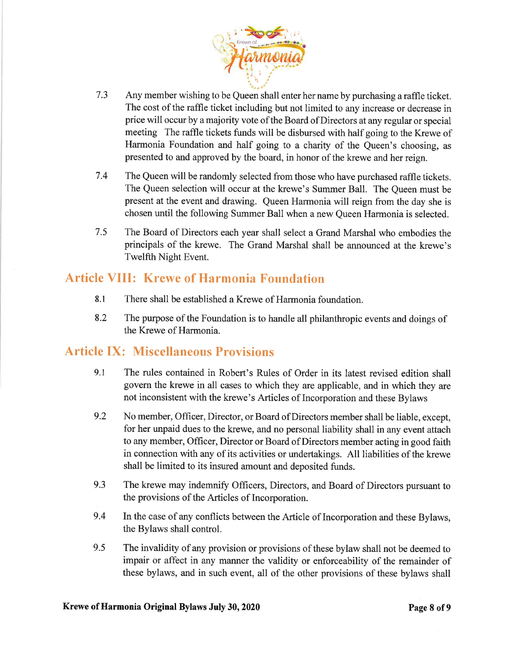

- <sup>7</sup>.3 Any member wishing to be Queen shall enter her name by purchasing a raffle ticket. The cost of the raffle ticket including but not limited to any increase or decrease in price will occur by a majority vote of the Board of Directors at any regular or special meeting The raffle tickets funds will be disbursed with half going to the Krewe of Harmonia Foundation and half going to a charity of the Queen's choosing, as presented to and approved by the board, in honor of the krewe and her reign.
- 7.4 The Queen will be randomly selected from those who have purchased raffle tickets. The Queen selection will occur at the krewe's Summer Ball. The Queen must be present at the event and drawing. Queen Harmonia will reign from the day she is chosen until the following Summer Ball when a new Queen Harmonia is selected.
- <sup>7</sup>.5 The Board of Directors each year shall select a Grand Marshal who embodies the principals of the krewe. The Grand Marshal shall be announced at the krewe's Twelfth Night Event.

## Article VIII: Krewe of Harmonia Foundation

- 8.1 There shall be established a Krewe of Harmonia foundation.
- 8.2 The purpose of the Foundation is to handle all philanthropic events and doings of the Krewe of Harmonia.

## Article IX: Miscellaneous Provisions

- 9.1 The rules contained in Robert's Rules of Order in its latest revised edition shall govern the krewe in all cases to which they are applicable, and in which they are not inconsistent with the krewe's Articles of Incorporation and these Bylaws
- 9.2 No member, Officer, Director, or Board of Directors member shall be liable, except, for her unpaid dues to the krewe, and no personal liability shall in any event attach to any member, Officer, Director or Board of Directors member acting in good faith in connection with any of its activities or undertakings. All liabilities of the krewe shall be limited to its insured amount and deposited funds.
- 9.3 The krewe may indemnify Officers, Directors, and Board of Directors pursuant to the provisions of the Articles of Incorporation.
- 9.4 In the case of any conflicts between the Article of Incorporation and these Bylaws, the Bylaws shall control.
- 9.5 The invalidity of any provision or provisions of these bylaw shall not be deemed to impair or affect in any manner the validity or enforceability of the remainder of these bylaws, and in such event, all of the other provisions of these bylaws shall